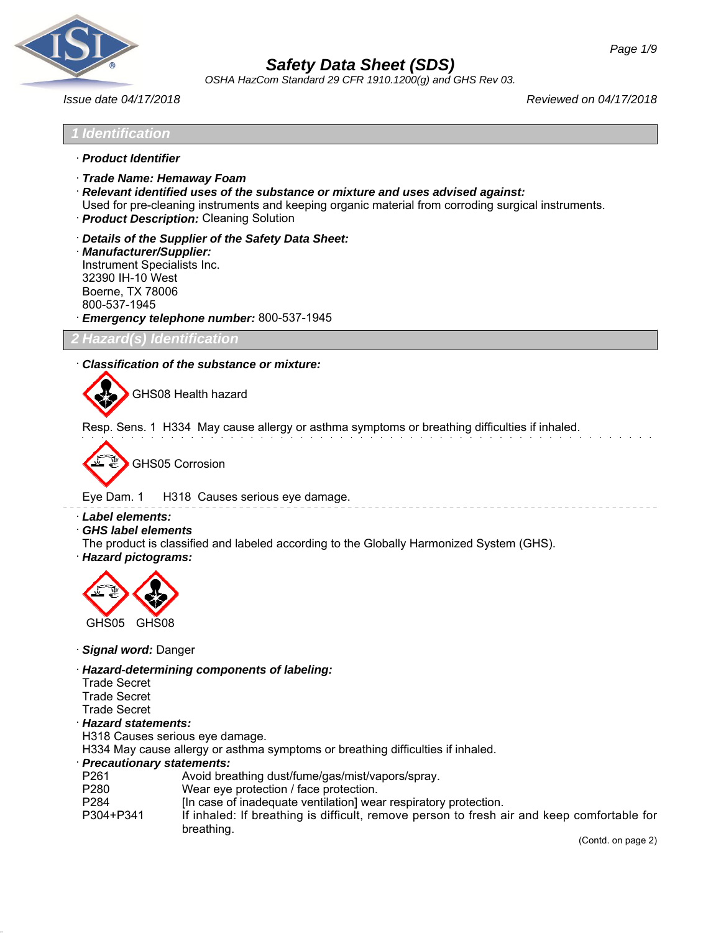

*OSHA HazCom Standard 29 CFR 1910.1200(g) and GHS Rev 03.*

*Issue date 04/17/2018 Reviewed on 04/17/2018*

# *1 Identification*

- · *Product Identifier*
- · *Trade Name: Hemaway Foam*
- · *Relevant identified uses of the substance or mixture and uses advised against:*
- Used for pre-cleaning instruments and keeping organic material from corroding surgical instruments.
- · *Product Description:* Cleaning Solution
- · *Details of the Supplier of the Safety Data Sheet:*
- · *Manufacturer/Supplier:* Instrument Specialists Inc. 32390 IH-10 West Boerne, TX 78006 800-537-1945 · *Emergency telephone number:* 800-537-1945

*2 Hazard(s) Identification*

## · *Classification of the substance or mixture:*

GHS08 Health hazard

Resp. Sens. 1 H334 May cause allergy or asthma symptoms or breathing difficulties if inhaled.

GHS05 Corrosion

Eye Dam. 1 H318 Causes serious eye damage.

#### · *Label elements:*

- · *GHS label elements*
- The product is classified and labeled according to the Globally Harmonized System (GHS).
- · *Hazard pictograms:*



- · *Signal word:* Danger
- · *Hazard-determining components of labeling:*
- Trade Secret
- Trade Secret
- Trade Secret
- · *Hazard statements:*
- H318 Causes serious eye damage.
- H334 May cause allergy or asthma symptoms or breathing difficulties if inhaled.

#### · *Precautionary statements:*

- P261 Avoid breathing dust/fume/gas/mist/vapors/spray.
- P280 Wear eye protection / face protection.
- P284 [In case of inadequate ventilation] wear respiratory protection.<br>P304+P341 [f inhaled: If breathing is difficult, remove person to fresh a
- If inhaled: If breathing is difficult, remove person to fresh air and keep comfortable for breathing.

(Contd. on page 2)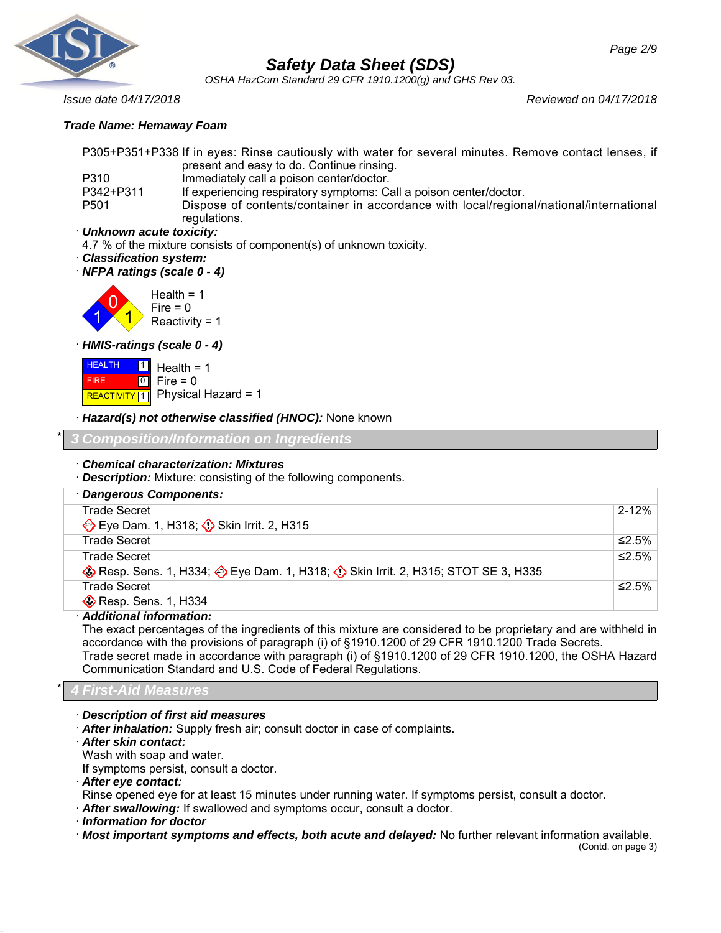

*OSHA HazCom Standard 29 CFR 1910.1200(g) and GHS Rev 03.*

*Issue date 04/17/2018 Reviewed on 04/17/2018*

# *Trade Name: Hemaway Foam*

P305+P351+P338 If in eyes: Rinse cautiously with water for several minutes. Remove contact lenses, if present and easy to do. Continue rinsing.

P310 Immediately call a poison center/doctor.

P342+P311 If experiencing respiratory symptoms: Call a poison center/doctor. P501 Dispose of contents/container in accordance with local/regional/national/international regulations.

· *Unknown acute toxicity:*

4.7 % of the mixture consists of component(s) of unknown toxicity.

· *Classification system:*

· *NFPA ratings (scale 0 - 4)*



· *HMIS-ratings (scale 0 - 4)*

**HEALTH**  FIRE **REACTIVITY** 1 **1**  $\overline{10}$ Health  $= 1$  $Fire = 0$ Physical Hazard = 1

· *Hazard(s) not otherwise classified (HNOC):* None known

\* *3 Composition/Information on Ingredients*

# · *Chemical characterization: Mixtures*

· *Description:* Mixture: consisting of the following components.

| · Dangerous Components:                                                       |           |
|-------------------------------------------------------------------------------|-----------|
| <b>Trade Secret</b>                                                           | $2 - 12%$ |
| Eye Dam. 1, H318; Skin Irrit. 2, H315                                         |           |
| <b>Trade Secret</b>                                                           | ≤2.5%     |
| <b>Trade Secret</b>                                                           | ≤2.5%     |
| Resp. Sens. 1, H334; Eye Dam. 1, H318; O Skin Irrit. 2, H315; STOT SE 3, H335 |           |
| <b>Trade Secret</b>                                                           | ≤2.5%     |
| $\diamond$ Resp. Sens. 1, H334                                                |           |

# · *Additional information:*

The exact percentages of the ingredients of this mixture are considered to be proprietary and are withheld in accordance with the provisions of paragraph (i) of §1910.1200 of 29 CFR 1910.1200 Trade Secrets. Trade secret made in accordance with paragraph (i) of §1910.1200 of 29 CFR 1910.1200, the OSHA Hazard Communication Standard and U.S. Code of Federal Regulations.

# \* *4 First-Aid Measures*

· *Description of first aid measures*

· *After inhalation:* Supply fresh air; consult doctor in case of complaints.

· *After skin contact:*

Wash with soap and water.

If symptoms persist, consult a doctor.

· *After eye contact:*

Rinse opened eye for at least 15 minutes under running water. If symptoms persist, consult a doctor.

· *After swallowing:* If swallowed and symptoms occur, consult a doctor.

· *Information for doctor*

· *Most important symptoms and effects, both acute and delayed:* No further relevant information available.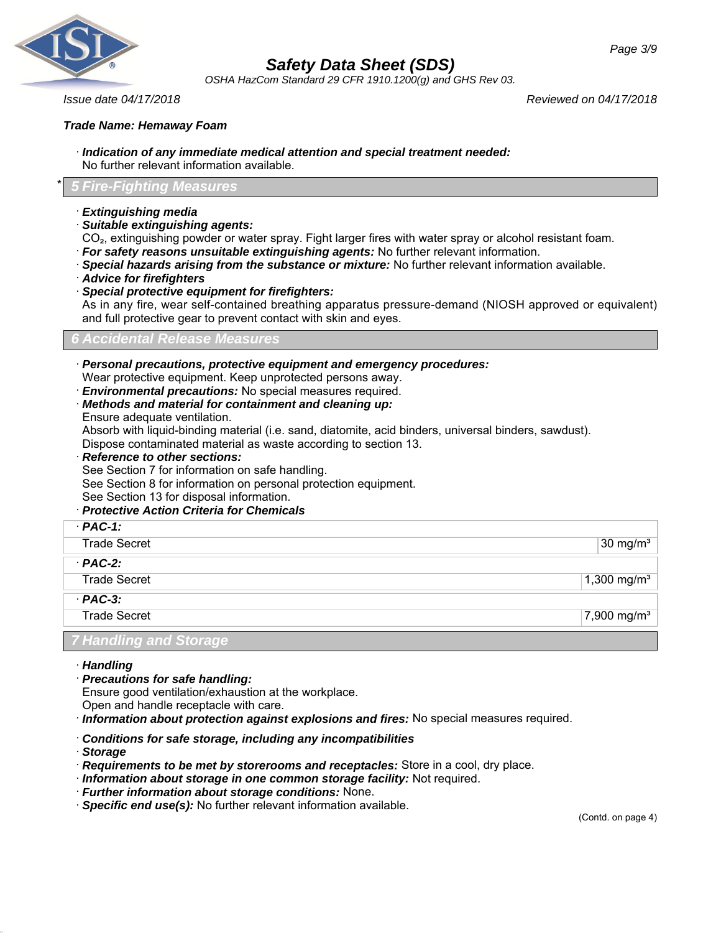

*OSHA HazCom Standard 29 CFR 1910.1200(g) and GHS Rev 03.*

*Issue date 04/17/2018 Reviewed on 04/17/2018*

## *Trade Name: Hemaway Foam*

- · *Indication of any immediate medical attention and special treatment needed:* No further relevant information available.
- \* *5 Fire-Fighting Measures*
- · *Extinguishing media*
- · *Suitable extinguishing agents:*

CO<sub>2</sub>, extinguishing powder or water spray. Fight larger fires with water spray or alcohol resistant foam.

- · *For safety reasons unsuitable extinguishing agents:* No further relevant information.
- · *Special hazards arising from the substance or mixture:* No further relevant information available.
- · *Advice for firefighters*
- · *Special protective equipment for firefighters:*

As in any fire, wear self-contained breathing apparatus pressure-demand (NIOSH approved or equivalent) and full protective gear to prevent contact with skin and eyes.

*6 Accidental Release Measures*

- · *Personal precautions, protective equipment and emergency procedures:* Wear protective equipment. Keep unprotected persons away.
- · *Environmental precautions:* No special measures required.
- · *Methods and material for containment and cleaning up:* Ensure adequate ventilation.

Absorb with liquid-binding material (i.e. sand, diatomite, acid binders, universal binders, sawdust).

Dispose contaminated material as waste according to section 13.

· *Reference to other sections:*

See Section 7 for information on safe handling.

See Section 8 for information on personal protection equipment.

- See Section 13 for disposal information.
- · *Protective Action Criteria for Chemicals*

| $·$ PAC-1:             |                         |
|------------------------|-------------------------|
| <b>Trade Secret</b>    | 30 mg/ $m3$             |
| $·$ PAC-2:             |                         |
| <b>Trade Secret</b>    | 1,300 mg/m <sup>3</sup> |
| $·$ PAC-3:             |                         |
| <b>Trade Secret</b>    | 7,900 mg/m <sup>3</sup> |
| 7 Handling and Storage |                         |

- · *Handling*
- · *Precautions for safe handling:*

Ensure good ventilation/exhaustion at the workplace.

Open and handle receptacle with care.

· *Information about protection against explosions and fires:* No special measures required.

## · *Conditions for safe storage, including any incompatibilities*

- · *Storage*
- · *Requirements to be met by storerooms and receptacles:* Store in a cool, dry place.
- · *Information about storage in one common storage facility:* Not required.
- · *Further information about storage conditions:* None.
- · *Specific end use(s):* No further relevant information available.

(Contd. on page 4)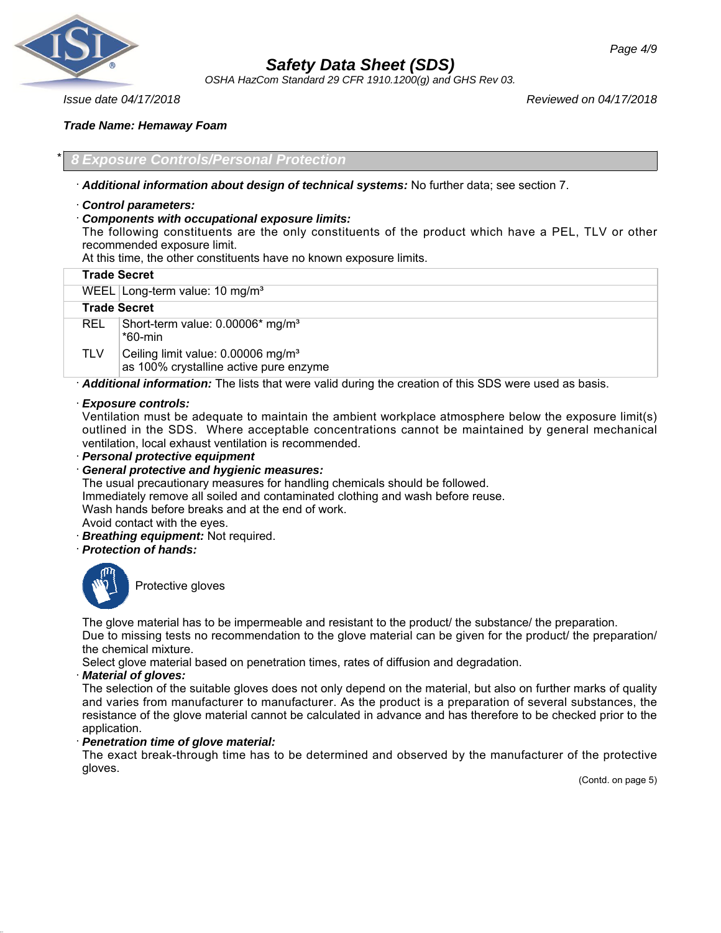

*OSHA HazCom Standard 29 CFR 1910.1200(g) and GHS Rev 03.*

*Issue date 04/17/2018 Reviewed on 04/17/2018*

## *Trade Name: Hemaway Foam*

# \* *8 Exposure Controls/Personal Protection*

- · *Additional information about design of technical systems:* No further data; see section 7.
- · *Control parameters:*
- · *Components with occupational exposure limits:*

The following constituents are the only constituents of the product which have a PEL, TLV or other recommended exposure limit.

At this time, the other constituents have no known exposure limits.

|                    | <b>Trade Secret</b>                                                                                   |
|--------------------|-------------------------------------------------------------------------------------------------------|
|                    | WEEL Long-term value: $10 \text{ mg/m}^3$                                                             |
|                    | <b>Trade Secret</b>                                                                                   |
| REL.               | Short-term value: 0.00006* mg/m <sup>3</sup><br>*60-min                                               |
| <b>TLV</b>         | Ceiling limit value: 0.00006 mg/m <sup>3</sup><br>as 100% crystalline active pure enzyme              |
|                    | Additional information: The lists that were valid during the creation of this SDS were used as basis. |
| Exposure controls: |                                                                                                       |

# · *Exposure controls:*

Ventilation must be adequate to maintain the ambient workplace atmosphere below the exposure limit(s) outlined in the SDS. Where acceptable concentrations cannot be maintained by general mechanical ventilation, local exhaust ventilation is recommended.

· *Personal protective equipment*

· *General protective and hygienic measures:*

The usual precautionary measures for handling chemicals should be followed. Immediately remove all soiled and contaminated clothing and wash before reuse. Wash hands before breaks and at the end of work. Avoid contact with the eyes.

- **Breathing equipment:** Not required.
- · *Protection of hands:*



Protective gloves

The glove material has to be impermeable and resistant to the product/ the substance/ the preparation. Due to missing tests no recommendation to the glove material can be given for the product/ the preparation/ the chemical mixture.

Select glove material based on penetration times, rates of diffusion and degradation.

## · *Material of gloves:*

The selection of the suitable gloves does not only depend on the material, but also on further marks of quality and varies from manufacturer to manufacturer. As the product is a preparation of several substances, the resistance of the glove material cannot be calculated in advance and has therefore to be checked prior to the application.

# · *Penetration time of glove material:*

The exact break-through time has to be determined and observed by the manufacturer of the protective gloves.

(Contd. on page 5)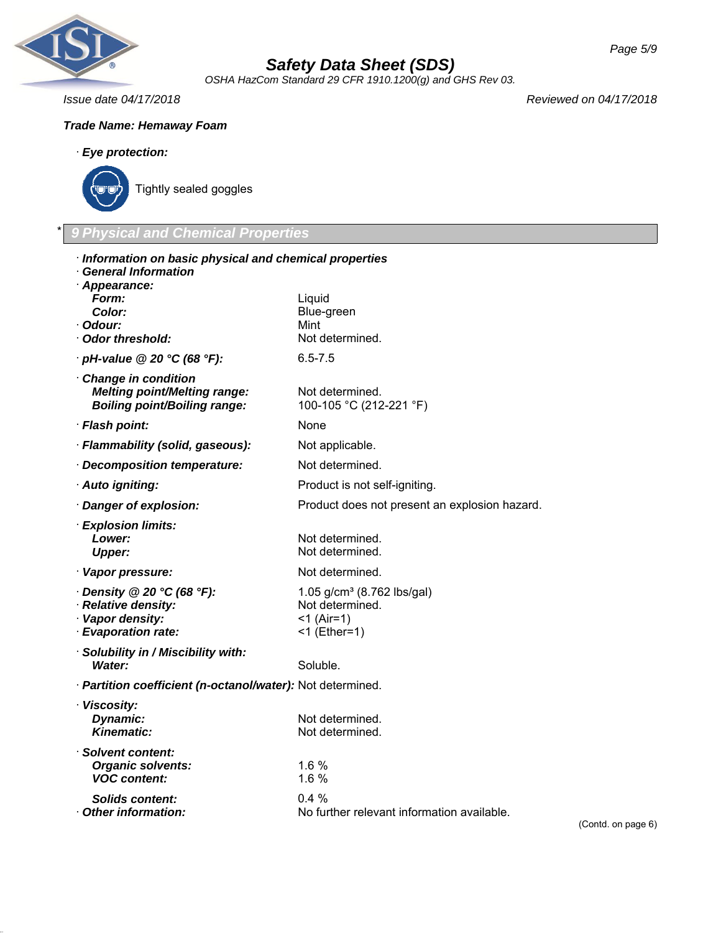

*OSHA HazCom Standard 29 CFR 1910.1200(g) and GHS Rev 03.*

*Issue date 04/17/2018 Reviewed on 04/17/2018*

# *Trade Name: Hemaway Foam*

# · *Eye protection:*



# \* *9 Physical and Chemical Properties*

| · Information on basic physical and chemical properties                                             |                                                                                      |
|-----------------------------------------------------------------------------------------------------|--------------------------------------------------------------------------------------|
| <b>General Information</b><br>· Appearance:                                                         |                                                                                      |
| Form:                                                                                               | Liquid                                                                               |
| Color:                                                                                              | Blue-green                                                                           |
| · Odour:                                                                                            | Mint                                                                                 |
| Odor threshold:                                                                                     | Not determined.                                                                      |
| $\cdot$ pH-value @ 20 $\degree$ C (68 $\degree$ F):                                                 | $6.5 - 7.5$                                                                          |
| · Change in condition<br><b>Melting point/Melting range:</b><br><b>Boiling point/Boiling range:</b> | Not determined.<br>100-105 °C (212-221 °F)                                           |
| · Flash point:                                                                                      | None                                                                                 |
| · Flammability (solid, gaseous):                                                                    | Not applicable.                                                                      |
| · Decomposition temperature:                                                                        | Not determined.                                                                      |
| · Auto igniting:                                                                                    | Product is not self-igniting.                                                        |
| · Danger of explosion:                                                                              | Product does not present an explosion hazard.                                        |
| · Explosion limits:<br>Lower:<br><b>Upper:</b>                                                      | Not determined.<br>Not determined.                                                   |
| · Vapor pressure:                                                                                   | Not determined.                                                                      |
| $\cdot$ Density @ 20 °C (68 °F):<br>· Relative density:<br>· Vapor density:<br>· Evaporation rate:  | 1.05 $g/cm^3$ (8.762 lbs/gal)<br>Not determined.<br>$<$ 1 (Air=1)<br>$<$ 1 (Ether=1) |
| · Solubility in / Miscibility with:<br>Water:                                                       | Soluble.                                                                             |
| · Partition coefficient (n-octanol/water): Not determined.                                          |                                                                                      |
| · Viscosity:<br>Dynamic:<br><b>Kinematic:</b>                                                       | Not determined.<br>Not determined.                                                   |
| · Solvent content:<br><b>Organic solvents:</b><br><b>VOC</b> content:                               | 1.6 %<br>1.6%                                                                        |
| Solids content:<br>Other information:                                                               | 0.4%<br>No further relevant information available.                                   |

(Contd. on page 6)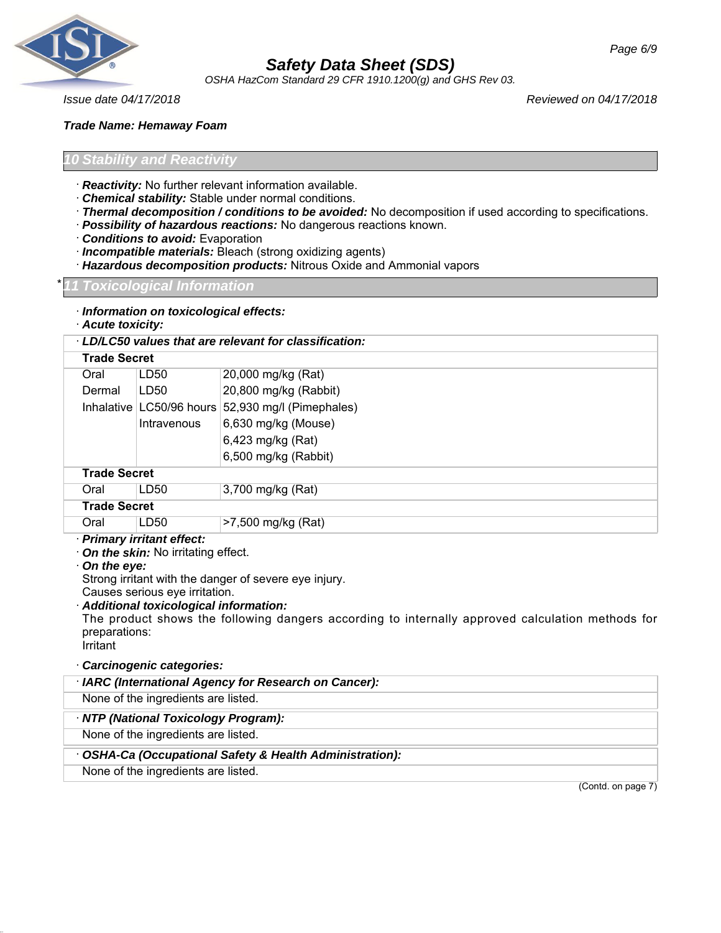

*OSHA HazCom Standard 29 CFR 1910.1200(g) and GHS Rev 03.*

*Issue date 04/17/2018 Reviewed on 04/17/2018*

*Trade Name: Hemaway Foam*

## *<u>Stability</u> and Reactivit*

- · *Reactivity:* No further relevant information available.
- · *Chemical stability:* Stable under normal conditions.
- · *Thermal decomposition / conditions to be avoided:* No decomposition if used according to specifications.
- · *Possibility of hazardous reactions:* No dangerous reactions known.
- · *Conditions to avoid:* Evaporation
- · *Incompatible materials:* Bleach (strong oxidizing agents)
- · *Hazardous decomposition products:* Nitrous Oxide and Ammonial vapors

#### \* *11 Toxicological Information*

- · *Information on toxicological effects:*
- · *Acute toxicity:*

| LD/LC50 values that are relevant for classification: |                            |                          |  |
|------------------------------------------------------|----------------------------|--------------------------|--|
|                                                      | <b>Trade Secret</b>        |                          |  |
| Oral                                                 | LD50                       | 20,000 mg/kg (Rat)       |  |
| Dermal                                               | LD50                       | 20,800 mg/kg (Rabbit)    |  |
|                                                      | Inhalative   LC50/96 hours | 52,930 mg/l (Pimephales) |  |
|                                                      | Intravenous                | 6,630 mg/kg (Mouse)      |  |
|                                                      |                            | 6,423 mg/kg (Rat)        |  |
|                                                      |                            | 6,500 mg/kg (Rabbit)     |  |
| <b>Trade Secret</b>                                  |                            |                          |  |
| Oral                                                 | LD <sub>50</sub>           | 3,700 mg/kg (Rat)        |  |
| <b>Trade Secret</b>                                  |                            |                          |  |
| Oral                                                 | LD50                       | >7,500 mg/kg (Rat)       |  |
| · Primary irritant effect:                           |                            |                          |  |

· *On the skin:* No irritating effect.

## · *On the eye:*

Strong irritant with the danger of severe eye injury.

Causes serious eye irritation.

· *Additional toxicological information:* The product shows the following dangers according to internally approved calculation methods for preparations: Irritant

· *Carcinogenic categories:*

| · IARC (International Agency for Research on Cancer):  |
|--------------------------------------------------------|
| None of the ingredients are listed.                    |
| NTP (National Toxicology Program):                     |
| None of the ingredients are listed.                    |
| OSHA-Ca (Occupational Safety & Health Administration): |
| None of the ingredients are listed.                    |
| $\sim$ $\sim$ $\sim$                                   |

(Contd. on page 7)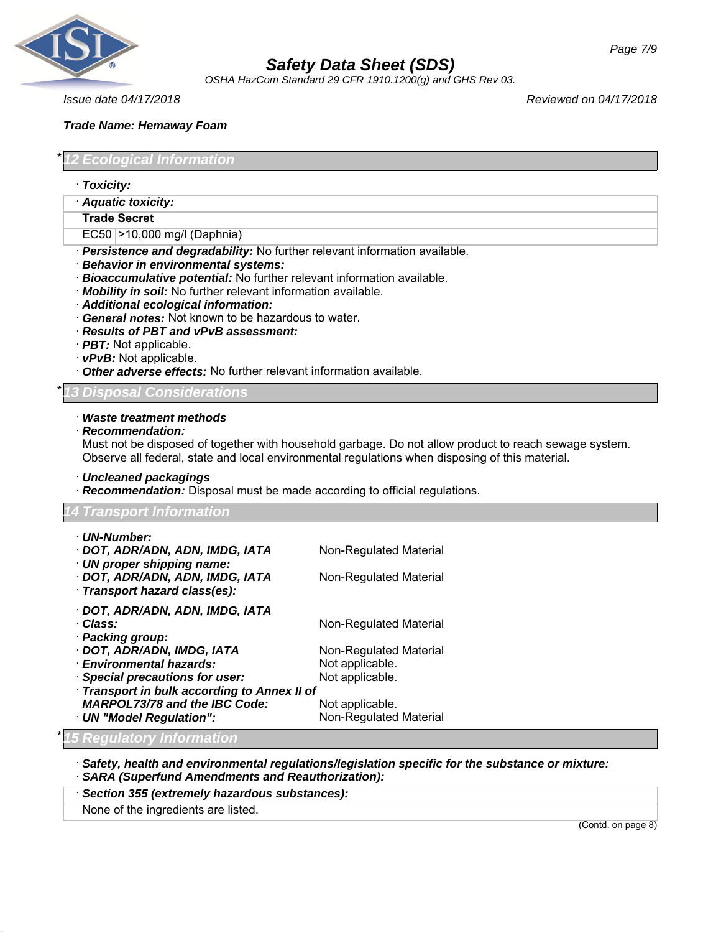

*OSHA HazCom Standard 29 CFR 1910.1200(g) and GHS Rev 03.*

## *Trade Name: Hemaway Foam*

*Ecological Information* 

- · *Toxicity:*
- · *Aquatic toxicity:*

#### **Trade Secret**

- EC50 >10,000 mg/l (Daphnia)
- · *Persistence and degradability:* No further relevant information available.
- · *Behavior in environmental systems:*
- · *Bioaccumulative potential:* No further relevant information available.
- · *Mobility in soil:* No further relevant information available.
- · *Additional ecological information:*
- · *General notes:* Not known to be hazardous to water.
- · *Results of PBT and vPvB assessment:*
- · *PBT:* Not applicable.
- · *vPvB:* Not applicable.
- · *Other adverse effects:* No further relevant information available.

*Disposal Considerations* 

#### · *Waste treatment methods*

· *Recommendation:*

Must not be disposed of together with household garbage. Do not allow product to reach sewage system. Observe all federal, state and local environmental regulations when disposing of this material.

· *Uncleaned packagings*

· *Recommendation:* Disposal must be made according to official regulations.

| · UN-Number:                                                        |                               |  |
|---------------------------------------------------------------------|-------------------------------|--|
| · DOT, ADR/ADN, ADN, IMDG, IATA                                     | Non-Regulated Material        |  |
| $\cdot$ UN proper shipping name:<br>· DOT, ADR/ADN, ADN, IMDG, IATA | Non-Regulated Material        |  |
| Transport hazard class(es):                                         |                               |  |
| · DOT, ADR/ADN, ADN, IMDG, IATA                                     |                               |  |
| · Class:                                                            | Non-Regulated Material        |  |
| · Packing group:                                                    |                               |  |
| · DOT, ADR/ADN, IMDG, IATA                                          | Non-Regulated Material        |  |
| · Environmental hazards:                                            | Not applicable.               |  |
| <b>Special precautions for user:</b>                                | Not applicable.               |  |
| Transport in bulk according to Annex II of                          |                               |  |
| <b>MARPOL73/78 and the IBC Code:</b>                                | Not applicable.               |  |
| · UN "Model Regulation":                                            | <b>Non-Regulated Material</b> |  |

· *Safety, health and environmental regulations/legislation specific for the substance or mixture:* · *SARA (Superfund Amendments and Reauthorization):*

## · *Section 355 (extremely hazardous substances):*

None of the ingredients are listed.

(Contd. on page 8)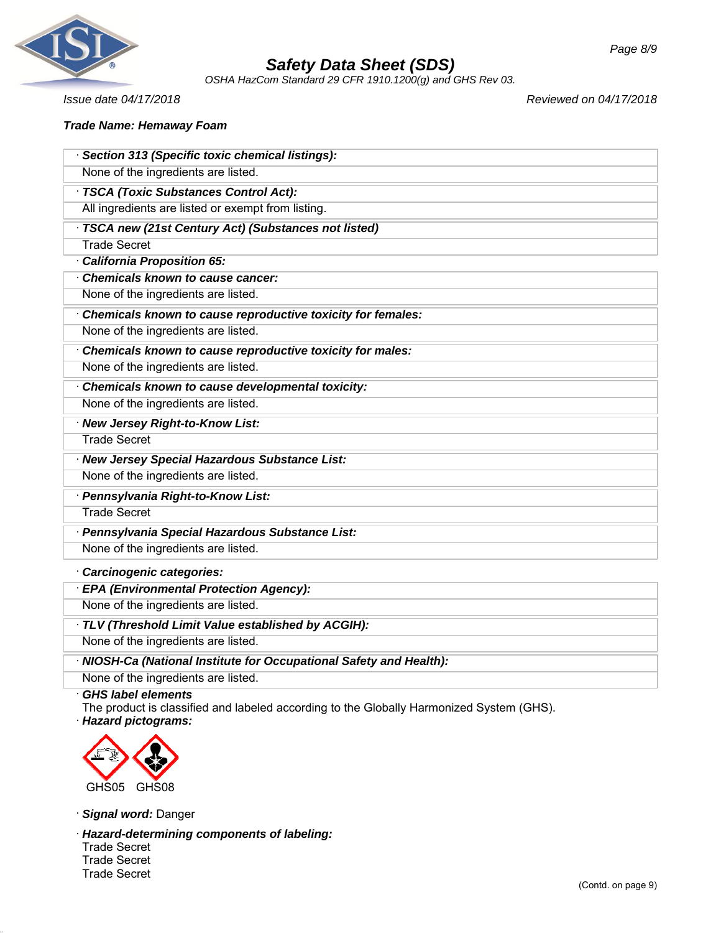

*OSHA HazCom Standard 29 CFR 1910.1200(g) and GHS Rev 03.*

*Issue date 04/17/2018 Reviewed on 04/17/2018*

## *Trade Name: Hemaway Foam*

| · Section 313 (Specific toxic chemical listings):                   |
|---------------------------------------------------------------------|
| None of the ingredients are listed.                                 |
| · TSCA (Toxic Substances Control Act):                              |
| All ingredients are listed or exempt from listing.                  |
| · TSCA new (21st Century Act) (Substances not listed)               |
| <b>Trade Secret</b>                                                 |
| California Proposition 65:                                          |
| Chemicals known to cause cancer:                                    |
| None of the ingredients are listed.                                 |
| Chemicals known to cause reproductive toxicity for females:         |
| None of the ingredients are listed.                                 |
| Chemicals known to cause reproductive toxicity for males:           |
| None of the ingredients are listed.                                 |
| Chemicals known to cause developmental toxicity:                    |
| None of the ingredients are listed.                                 |
| · New Jersey Right-to-Know List:                                    |
| <b>Trade Secret</b>                                                 |
| · New Jersey Special Hazardous Substance List:                      |
| None of the ingredients are listed.                                 |
| · Pennsylvania Right-to-Know List:                                  |
| <b>Trade Secret</b>                                                 |
| · Pennsylvania Special Hazardous Substance List:                    |
| None of the ingredients are listed.                                 |
| · Carcinogenic categories:                                          |
| · EPA (Environmental Protection Agency):                            |
| None of the ingredients are listed.                                 |
| · TLV (Threshold Limit Value established by ACGIH):                 |
| None of the ingredients are listed.                                 |
| · NIOSH-Ca (National Institute for Occupational Safety and Health): |
| None of the ingredients are listed.                                 |

## · *GHS label elements*

The product is classified and labeled according to the Globally Harmonized System (GHS). · *Hazard pictograms:*



· *Signal word:* Danger

· *Hazard-determining components of labeling:* Trade Secret Trade Secret Trade Secret